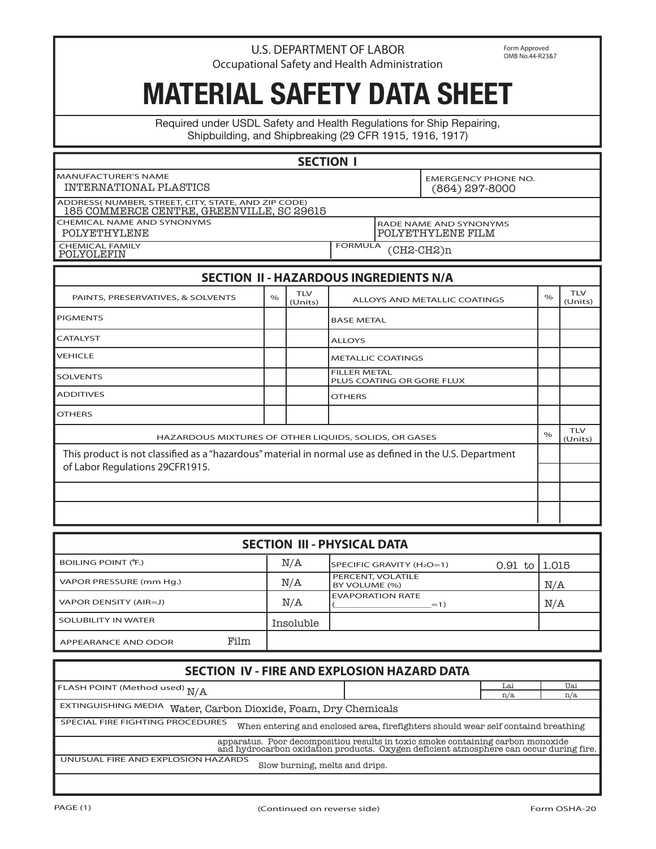## U.S. DEPARTMENT OF LABOR Occupational Safety and Health Administration

Form Approved OMB No.44-R23&7

## **MATERIAL SAFETY DATA SHEET**

Required under USDL Safety and Health Regulations for Ship Repairing, Shipbuilding, and Shipbreaking (29 CFR 1915, 1916, 1917)

## **SECTION I**

MANUFACTURER'S NAME EMERGENCY PHONE NO. INTERNATIONAL PLASTICS

ADDRESS( NUMBER, STREET, CITY, STATE, AND ZIP CODE) 185 COMMERCE CENTRE, GREENVILLE, SC 29615

CHEMICAL NAME AND SYNONYMS<br>
POLYETHYLENE FILM

CHEMICAL FAMILY<br>POLYOLEFIN

**FORMULA** POLYETHYLENE POLYETHYLENE FILM

## **SECTION II - HAZARDOUS INGREDIENTS N/A**

| PAINTS, PRESERVATIVES, & SOLVENTS                                                                        | $\%$ | <b>TLV</b><br>(Units) | ALLOYS AND METALLIC COATINGS                     |      | <b>TLV</b><br>(Units) |
|----------------------------------------------------------------------------------------------------------|------|-----------------------|--------------------------------------------------|------|-----------------------|
| <b>PIGMENTS</b>                                                                                          |      |                       | <b>BASE METAL</b>                                |      |                       |
| CATALYST                                                                                                 |      |                       | <b>ALLOYS</b>                                    |      |                       |
| <b>VEHICLE</b>                                                                                           |      |                       | <b>METALLIC COATINGS</b>                         |      |                       |
| <b>SOLVENTS</b>                                                                                          |      |                       | <b>FILLER METAL</b><br>PLUS COATING OR GORE FLUX |      |                       |
| <b>ADDITIVES</b>                                                                                         |      |                       | <b>OTHERS</b>                                    |      |                       |
| <b>OTHERS</b>                                                                                            |      |                       |                                                  |      |                       |
| HAZARDOUS MIXTURES OF OTHER LIQUIDS, SOLIDS, OR GASES                                                    |      |                       |                                                  | $\%$ | <b>TLV</b><br>(Units) |
| This product is not classified as a "hazardous" material in normal use as defined in the U.S. Department |      |                       |                                                  |      |                       |
| of Labor Regulations 29CFR1915.                                                                          |      |                       |                                                  |      |                       |
|                                                                                                          |      |                       |                                                  |      |                       |
|                                                                                                          |      |                       |                                                  |      |                       |

| <b>SECTION III - PHYSICAL DATA</b> |      |           |                                    |           |        |  |
|------------------------------------|------|-----------|------------------------------------|-----------|--------|--|
| BOILING POINT (°F.)                |      | N/A       | SPECIFIC GRAVITY (H2O=1)           | $0.91$ to | 11.015 |  |
| VAPOR PRESSURE (mm Hq.)            |      | N/A       | PERCENT, VOLATILE<br>BY VOLUME (%) |           | N/A    |  |
| VAPOR DENSITY (AIR=J)              |      | N/A       | <b>EVAPORATION RATE</b><br>$=1)$   |           | N/A    |  |
| SOLUBILITY IN WATER                |      | Insoluble |                                    |           |        |  |
| APPEARANCE AND ODOR                | Film |           |                                    |           |        |  |

| SECTION IV - FIRE AND EXPLOSION HAZARD DATA                                                                                                                               |      |     |  |  |  |  |  |
|---------------------------------------------------------------------------------------------------------------------------------------------------------------------------|------|-----|--|--|--|--|--|
| <b>FLASH POINT (Method used) <math>\rm N/A</math></b>                                                                                                                     | I ai | Uai |  |  |  |  |  |
|                                                                                                                                                                           | n/a  | n/a |  |  |  |  |  |
| EXTINGUISHING MEDIA Water, Carbon Dioxide, Foam, Dry Chemicals                                                                                                            |      |     |  |  |  |  |  |
| SPECIAL FIRE FIGHTING PROCEDURES<br>When entering and enclosed area, firefighters should wear self containd breathing                                                     |      |     |  |  |  |  |  |
| apparatus. Poor decompositiou results in toxic smoke containing carbon monoxide<br>and hydrocarbon oxidation products. Oxygen deficient atmosphere can occur during fire. |      |     |  |  |  |  |  |
| UNUSUAL FIRE AND EXPLOSION HAZARDS<br>Slow burning, melts and drips.                                                                                                      |      |     |  |  |  |  |  |
|                                                                                                                                                                           |      |     |  |  |  |  |  |